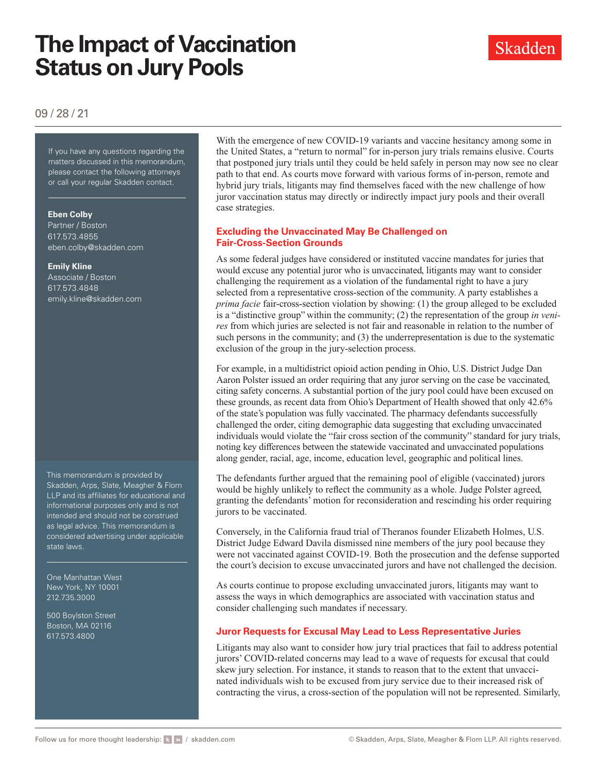# **The Impact of Vaccination Status on Jury Pools**

Skadden

09 / 28 / 21

If you have any questions regarding the matters discussed in this memorandum, please contact the following attorneys or call your regular Skadden contact.

#### **Eben Colby**

Partner / Boston 617.573.4855 [eben.colby@skadden.com](mailto: eben.colby@skadden.com)

#### **Emily Kline**

Associate / Boston 617.573.4848 [emily.kline@skadden.com](mailto: emily.kline@skadden.com)

This memorandum is provided by Skadden, Arps, Slate, Meagher & Flom LLP and its affiliates for educational and informational purposes only and is not intended and should not be construed as legal advice. This memorandum is considered advertising under applicable state laws.

One Manhattan West New York, NY 10001 212.735.3000

500 Boylston Street Boston, MA 02116 617.573.4800

With the emergence of new COVID-19 variants and vaccine hesitancy among some in the United States, a "return to normal" for in-person jury trials remains elusive. Courts that postponed jury trials until they could be held safely in person may now see no clear path to that end. As courts move forward with various forms of in-person, remote and hybrid jury trials, litigants may find themselves faced with the new challenge of how juror vaccination status may directly or indirectly impact jury pools and their overall case strategies.

## **Excluding the Unvaccinated May Be Challenged on Fair-Cross-Section Grounds**

As some federal judges have considered or instituted vaccine mandates for juries that would excuse any potential juror who is unvaccinated, litigants may want to consider challenging the requirement as a violation of the fundamental right to have a jury selected from a representative cross-section of the community. A party establishes a *prima facie* fair-cross-section violation by showing: (1) the group alleged to be excluded is a "distinctive group" within the community; (2) the representation of the group *in venires* from which juries are selected is not fair and reasonable in relation to the number of such persons in the community; and (3) the underrepresentation is due to the systematic exclusion of the group in the jury-selection process.

For example, in a multidistrict opioid action pending in Ohio, U.S. District Judge Dan Aaron Polster issued an order requiring that any juror serving on the case be vaccinated, citing safety concerns. A substantial portion of the jury pool could have been excused on these grounds, as recent data from Ohio's Department of Health showed that only 42.6% of the state's population was fully vaccinated. The pharmacy defendants successfully challenged the order, citing demographic data suggesting that excluding unvaccinated individuals would violate the "fair cross section of the community" standard for jury trials, noting key differences between the statewide vaccinated and unvaccinated populations along gender, racial, age, income, education level, geographic and political lines.

The defendants further argued that the remaining pool of eligible (vaccinated) jurors would be highly unlikely to reflect the community as a whole. Judge Polster agreed, granting the defendants' motion for reconsideration and rescinding his order requiring jurors to be vaccinated.

Conversely, in the California fraud trial of Theranos founder Elizabeth Holmes, U.S. District Judge Edward Davila dismissed nine members of the jury pool because they were not vaccinated against COVID-19. Both the prosecution and the defense supported the court's decision to excuse unvaccinated jurors and have not challenged the decision.

As courts continue to propose excluding unvaccinated jurors, litigants may want to assess the ways in which demographics are associated with vaccination status and consider challenging such mandates if necessary.

#### **Juror Requests for Excusal May Lead to Less Representative Juries**

Litigants may also want to consider how jury trial practices that fail to address potential jurors' COVID-related concerns may lead to a wave of requests for excusal that could skew jury selection. For instance, it stands to reason that to the extent that unvaccinated individuals wish to be excused from jury service due to their increased risk of contracting the virus, a cross-section of the population will not be represented. Similarly,